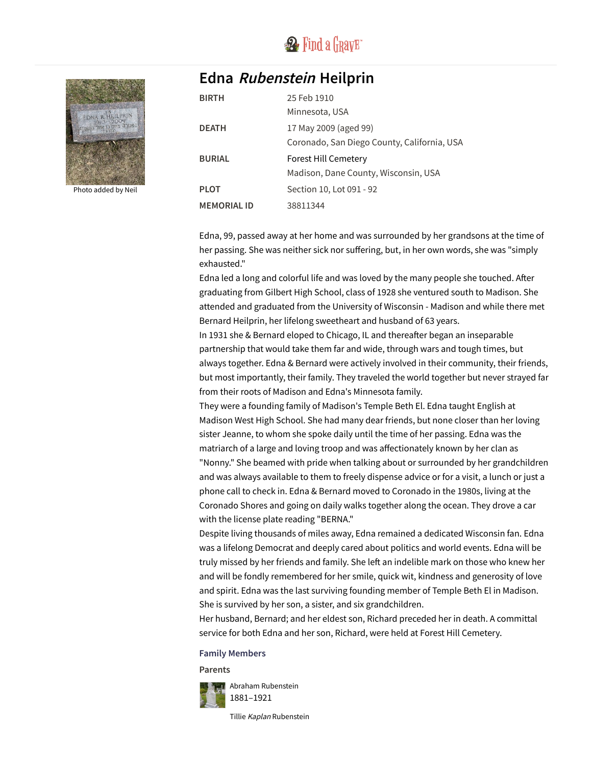

## **Edna Rubenstein Heilprin**



Photo added by [Neil](https://www.findagrave.com/user/profile/47710525)

| <b>BIRTH</b>       | 25 Feb 1910                                 |
|--------------------|---------------------------------------------|
|                    | Minnesota, USA                              |
| <b>DEATH</b>       | 17 May 2009 (aged 99)                       |
|                    | Coronado, San Diego County, California, USA |
| <b>BURIAL</b>      | <b>Forest Hill Cemetery</b>                 |
|                    | Madison, Dane County, Wisconsin, USA        |
| <b>PLOT</b>        | Section 10, Lot 091 - 92                    |
| <b>MEMORIAL ID</b> | 38811344                                    |

Edna, 99, passed away at her home and was surrounded by her grandsons at the time of her passing. She was neither sick nor suffering, but, in her own words, she was "simply exhausted."

Edna led a long and colorful life and was loved by the many people she touched. After graduating from Gilbert High School, class of 1928 she ventured south to Madison. She attended and graduated from the University of Wisconsin - Madison and while there met Bernard Heilprin, her lifelong sweetheart and husband of 63 years.

In 1931 she & Bernard eloped to Chicago, IL and thereafter began an inseparable partnership that would take them far and wide, through wars and tough times, but always together. Edna & Bernard were actively involved in their community, their friends, but most importantly, their family. They traveled the world together but never strayed far from their roots of Madison and Edna's Minnesota family.

They were a founding family of Madison's Temple Beth El. Edna taught English at Madison West High School. She had many dear friends, but none closer than her loving sister Jeanne, to whom she spoke daily until the time of her passing. Edna was the matriarch of a large and loving troop and was affectionately known by her clan as "Nonny." She beamed with pride when talking about or surrounded by her grandchildren and was always available to them to freely dispense advice or for a visit, a lunch or just a phone call to check in. Edna & Bernard moved to Coronado in the 1980s, living at the Coronado Shores and going on daily walks together along the ocean. They drove a car with the license plate reading "BERNA."

Despite living thousands of miles away, Edna remained a dedicated Wisconsin fan. Edna was a lifelong Democrat and deeply cared about politics and world events. Edna will be truly missed by her friends and family. She left an indelible mark on those who knew her and will be fondly remembered for her smile, quick wit, kindness and generosity of love and spirit. Edna was the last surviving founding member of Temple Beth El in Madison. She is survived by her son, a sister, and six grandchildren.

Her husband, Bernard; and her eldest son, Richard preceded her in death. A committal service for both Edna and her son, Richard, were held at Forest Hill Cemetery.

## **Family Members**

**Parents**



Tillie Kaplan [Rubenstein](https://www.findagrave.com/memorial/20056102/tillie-rubenstein)